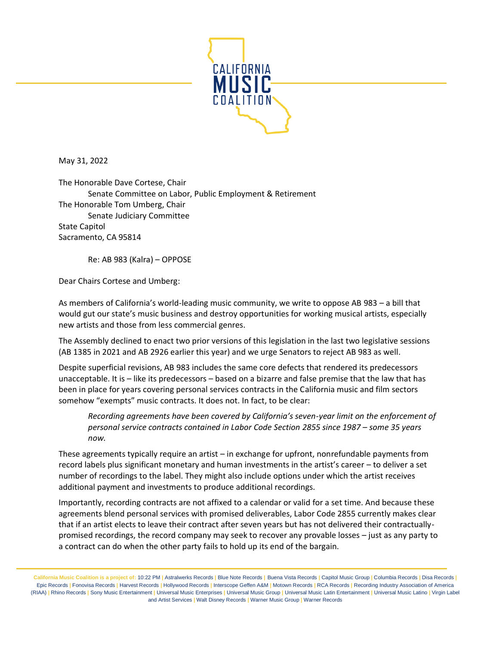

May 31, 2022

The Honorable Dave Cortese, Chair Senate Committee on Labor, Public Employment & Retirement The Honorable Tom Umberg, Chair Senate Judiciary Committee State Capitol Sacramento, CA 95814

Re: AB 983 (Kalra) – OPPOSE

Dear Chairs Cortese and Umberg:

As members of California's world-leading music community, we write to oppose AB 983 – a bill that would gut our state's music business and destroy opportunities for working musical artists, especially new artists and those from less commercial genres.

The Assembly declined to enact two prior versions of this legislation in the last two legislative sessions (AB 1385 in 2021 and AB 2926 earlier this year) and we urge Senators to reject AB 983 as well.

Despite superficial revisions, AB 983 includes the same core defects that rendered its predecessors unacceptable. It is – like its predecessors – based on a bizarre and false premise that the law that has been in place for years covering personal services contracts in the California music and film sectors somehow "exempts" music contracts. It does not. In fact, to be clear:

*Recording agreements have been covered by California's seven-year limit on the enforcement of personal service contracts contained in Labor Code Section 2855 since 1987 – some 35 years now.* 

These agreements typically require an artist – in exchange for upfront, nonrefundable payments from record labels plus significant monetary and human investments in the artist's career – to deliver a set number of recordings to the label. They might also include options under which the artist receives additional payment and investments to produce additional recordings.

Importantly, recording contracts are not affixed to a calendar or valid for a set time. And because these agreements blend personal services with promised deliverables, Labor Code 2855 currently makes clear that if an artist elects to leave their contract after seven years but has not delivered their contractuallypromised recordings, the record company may seek to recover any provable losses – just as any party to a contract can do when the other party fails to hold up its end of the bargain.

California Music Coalition is a project of: 10:22 PM | Astralwerks Records | Blue Note Records | Buena Vista Records | Capitol Music Group | Columbia Records | Disa Records | Epic Records **|** Fonovisa Records **|** Harvest Records **|** Hollywood Records **|** Interscope Geffen A&M **|** Motown Records **|** RCA Records **|** Recording Industry Association of America (RIAA) | Rhino Records | Sony Music Entertainment | Universal Music Enterprises | Universal Music Group | Universal Music Latin Entertainment | Universal Music Latino | Virgin Label and Artist Services **|** Walt Disney Records **|** Warner Music Group **|** Warner Records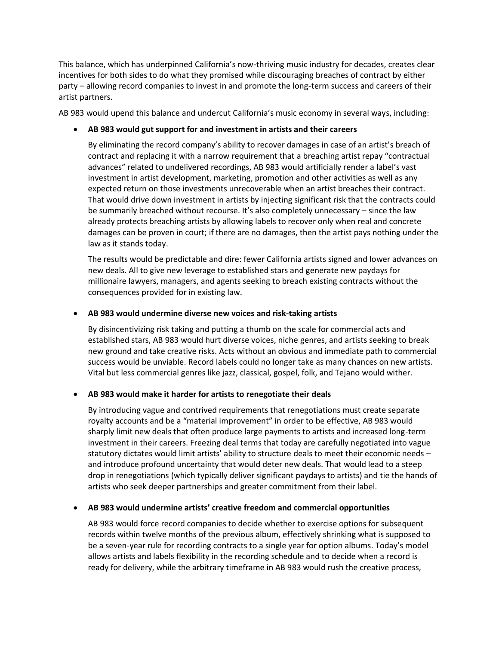This balance, which has underpinned California's now-thriving music industry for decades, creates clear incentives for both sides to do what they promised while discouraging breaches of contract by either party – allowing record companies to invest in and promote the long-term success and careers of their artist partners.

AB 983 would upend this balance and undercut California's music economy in several ways, including:

### • **AB 983 would gut support for and investment in artists and their careers**

By eliminating the record company's ability to recover damages in case of an artist's breach of contract and replacing it with a narrow requirement that a breaching artist repay "contractual advances" related to undelivered recordings, AB 983 would artificially render a label's vast investment in artist development, marketing, promotion and other activities as well as any expected return on those investments unrecoverable when an artist breaches their contract. That would drive down investment in artists by injecting significant risk that the contracts could be summarily breached without recourse. It's also completely unnecessary – since the law already protects breaching artists by allowing labels to recover only when real and concrete damages can be proven in court; if there are no damages, then the artist pays nothing under the law as it stands today.

The results would be predictable and dire: fewer California artists signed and lower advances on new deals. All to give new leverage to established stars and generate new paydays for millionaire lawyers, managers, and agents seeking to breach existing contracts without the consequences provided for in existing law.

### • **AB 983 would undermine diverse new voices and risk-taking artists**

By disincentivizing risk taking and putting a thumb on the scale for commercial acts and established stars, AB 983 would hurt diverse voices, niche genres, and artists seeking to break new ground and take creative risks. Acts without an obvious and immediate path to commercial success would be unviable. Record labels could no longer take as many chances on new artists. Vital but less commercial genres like jazz, classical, gospel, folk, and Tejano would wither.

### • **AB 983 would make it harder for artists to renegotiate their deals**

By introducing vague and contrived requirements that renegotiations must create separate royalty accounts and be a "material improvement" in order to be effective, AB 983 would sharply limit new deals that often produce large payments to artists and increased long-term investment in their careers. Freezing deal terms that today are carefully negotiated into vague statutory dictates would limit artists' ability to structure deals to meet their economic needs – and introduce profound uncertainty that would deter new deals. That would lead to a steep drop in renegotiations (which typically deliver significant paydays to artists) and tie the hands of artists who seek deeper partnerships and greater commitment from their label.

### • **AB 983 would undermine artists' creative freedom and commercial opportunities**

AB 983 would force record companies to decide whether to exercise options for subsequent records within twelve months of the previous album, effectively shrinking what is supposed to be a seven-year rule for recording contracts to a single year for option albums. Today's model allows artists and labels flexibility in the recording schedule and to decide when a record is ready for delivery, while the arbitrary timeframe in AB 983 would rush the creative process,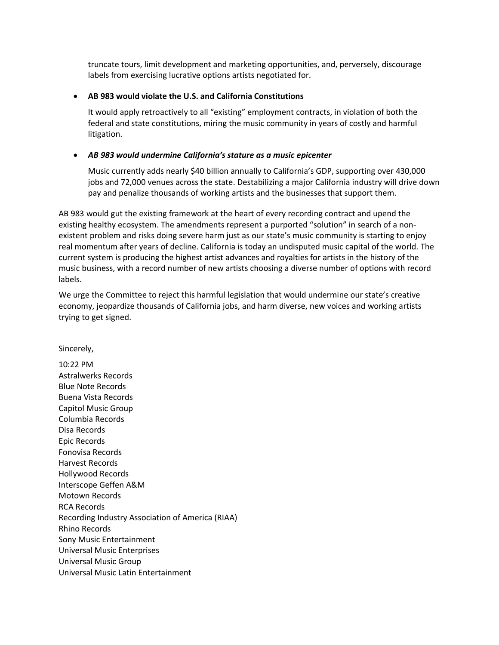truncate tours, limit development and marketing opportunities, and, perversely, discourage labels from exercising lucrative options artists negotiated for.

## • **AB 983 would violate the U.S. and California Constitutions**

It would apply retroactively to all "existing" employment contracts, in violation of both the federal and state constitutions, miring the music community in years of costly and harmful litigation.

# • *AB 983 would undermine California's stature as a music epicenter*

Music currently adds nearly \$40 billion annually to California's GDP, supporting over 430,000 jobs and 72,000 venues across the state. Destabilizing a major California industry will drive down pay and penalize thousands of working artists and the businesses that support them.

AB 983 would gut the existing framework at the heart of every recording contract and upend the existing healthy ecosystem. The amendments represent a purported "solution" in search of a nonexistent problem and risks doing severe harm just as our state's music community is starting to enjoy real momentum after years of decline. California is today an undisputed music capital of the world. The current system is producing the highest artist advances and royalties for artists in the history of the music business, with a record number of new artists choosing a diverse number of options with record labels.

We urge the Committee to reject this harmful legislation that would undermine our state's creative economy, jeopardize thousands of California jobs, and harm diverse, new voices and working artists trying to get signed.

Sincerely,

10:22 PM Astralwerks Records Blue Note Records Buena Vista Records Capitol Music Group Columbia Records Disa Records Epic Records Fonovisa Records Harvest Records Hollywood Records Interscope Geffen A&M Motown Records RCA Records Recording Industry Association of America (RIAA) Rhino Records Sony Music Entertainment Universal Music Enterprises Universal Music Group Universal Music Latin Entertainment